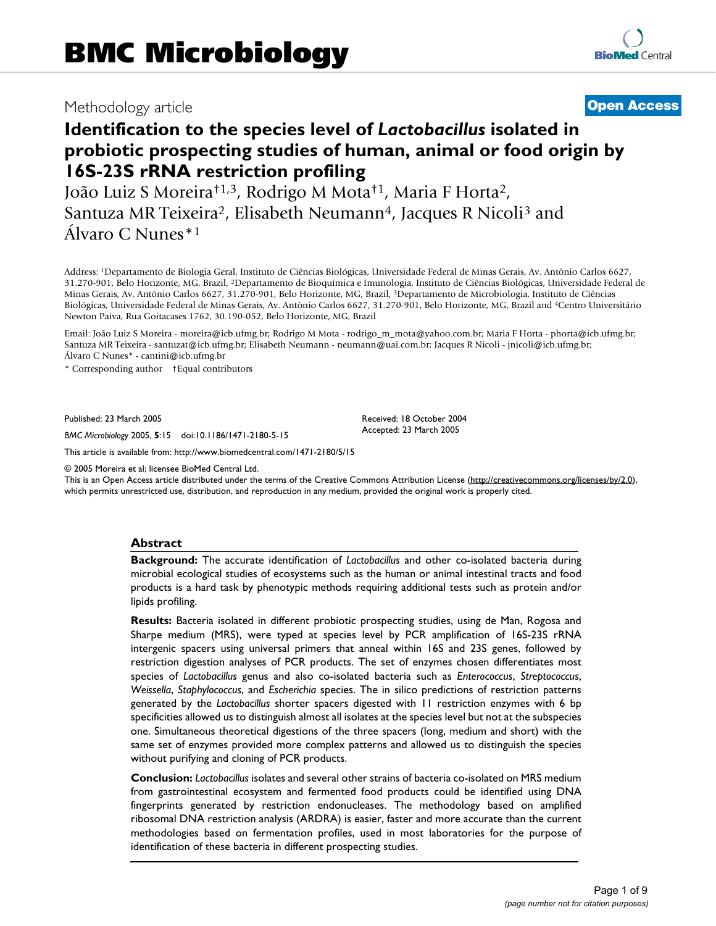# Methodology article **[Open Access](http://www.biomedcentral.com/info/about/charter/)**

# **Identification to the species level of** *Lactobacillus* **isolated in probiotic prospecting studies of human, animal or food origin by 16S-23S rRNA restriction profiling**

João Luiz S Moreira†1,3, Rodrigo M Mota†1, Maria F Horta2, Santuza MR Teixeira<sup>2</sup>, Elisabeth Neumann<sup>4</sup>, Jacques R Nicoli<sup>3</sup> and Álvaro C Nunes\*1

Address: 1Departamento de Biologia Geral, Instituto de Ciências Biológicas, Universidade Federal de Minas Gerais, Av. Antônio Carlos 6627, 31.270-901, Belo Horizonte, MG, Brazil, 2Departamento de Bioquímica e Imunologia, Instituto de Ciências Biológicas, Universidade Federal de Minas Gerais, Av. Antônio Carlos 6627, 31.270-901, Belo Horizonte, MG, Brazil, 3Departamento de Microbiologia, Instituto de Ciências Biológicas, Universidade Federal de Minas Gerais, Av. Antônio Carlos 6627, 31.270-901, Belo Horizonte, MG, Brazil and 4Centro Universitário Newton Paiva, Rua Goitacases 1762, 30.190-052, Belo Horizonte, MG, Brazil

Email: João Luiz S Moreira - moreira@icb.ufmg.br; Rodrigo M Mota - rodrigo\_m\_mota@yahoo.com.br; Maria F Horta - phorta@icb.ufmg.br; Santuza MR Teixeira - santuzat@icb.ufmg.br; Elisabeth Neumann - neumann@uai.com.br; Jacques R Nicoli - jnicoli@icb.ufmg.br; Álvaro C Nunes\* - cantini@icb.ufmg.br

\* Corresponding author †Equal contributors

Published: 23 March 2005

*BMC Microbiology* 2005, **5**:15 doi:10.1186/1471-2180-5-15

[This article is available from: http://www.biomedcentral.com/1471-2180/5/15](http://www.biomedcentral.com/1471-2180/5/15)

© 2005 Moreira et al; licensee BioMed Central Ltd.

This is an Open Access article distributed under the terms of the Creative Commons Attribution License [\(http://creativecommons.org/licenses/by/2.0\)](http://creativecommons.org/licenses/by/2.0), which permits unrestricted use, distribution, and reproduction in any medium, provided the original work is properly cited.

Received: 18 October 2004 Accepted: 23 March 2005

#### **Abstract**

**Background:** The accurate identification of *Lactobacillus* and other co-isolated bacteria during microbial ecological studies of ecosystems such as the human or animal intestinal tracts and food products is a hard task by phenotypic methods requiring additional tests such as protein and/or lipids profiling.

**Results:** Bacteria isolated in different probiotic prospecting studies, using de Man, Rogosa and Sharpe medium (MRS), were typed at species level by PCR amplification of 16S-23S rRNA intergenic spacers using universal primers that anneal within 16S and 23S genes, followed by restriction digestion analyses of PCR products. The set of enzymes chosen differentiates most species of *Lactobacillus* genus and also co-isolated bacteria such as *Enterococcus*, *Streptococcus*, *Weissella*, *Staphylococcus*, and *Escherichia* species. The in silico predictions of restriction patterns generated by the *Lactobacillus* shorter spacers digested with 11 restriction enzymes with 6 bp specificities allowed us to distinguish almost all isolates at the species level but not at the subspecies one. Simultaneous theoretical digestions of the three spacers (long, medium and short) with the same set of enzymes provided more complex patterns and allowed us to distinguish the species without purifying and cloning of PCR products.

**Conclusion:** *Lactobacillus* isolates and several other strains of bacteria co-isolated on MRS medium from gastrointestinal ecosystem and fermented food products could be identified using DNA fingerprints generated by restriction endonucleases. The methodology based on amplified ribosomal DNA restriction analysis (ARDRA) is easier, faster and more accurate than the current methodologies based on fermentation profiles, used in most laboratories for the purpose of identification of these bacteria in different prospecting studies.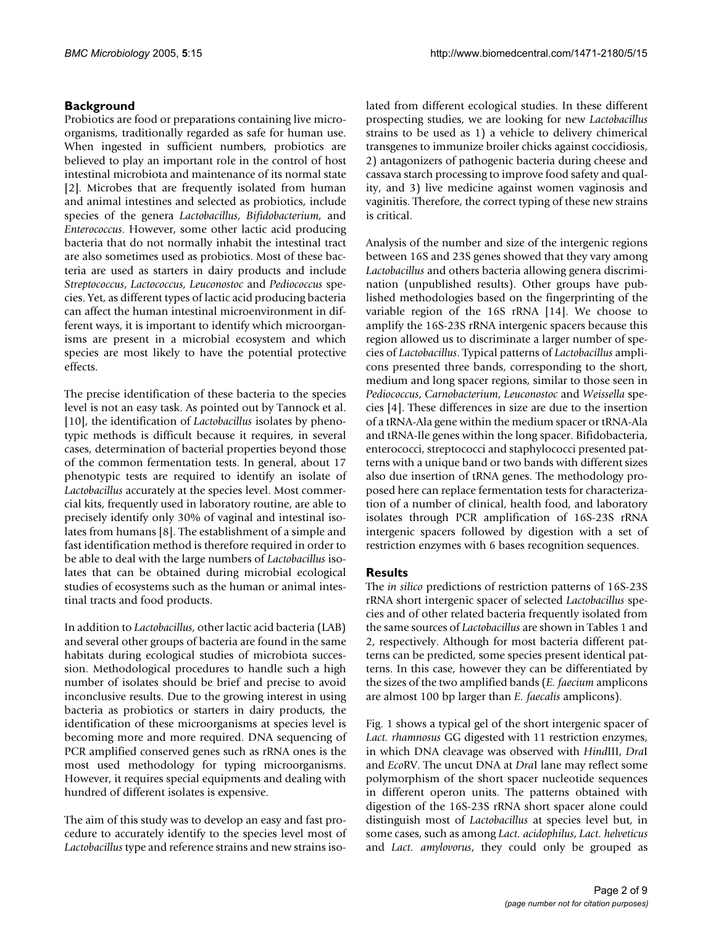# **Background**

Probiotics are food or preparations containing live microorganisms, traditionally regarded as safe for human use. When ingested in sufficient numbers, probiotics are believed to play an important role in the control of host intestinal microbiota and maintenance of its normal state [2]. Microbes that are frequently isolated from human and animal intestines and selected as probiotics, include species of the genera *Lactobacillus*, *Bifidobacterium*, and *Enterococcus*. However, some other lactic acid producing bacteria that do not normally inhabit the intestinal tract are also sometimes used as probiotics. Most of these bacteria are used as starters in dairy products and include *Streptococcus*, *Lactococcus*, *Leuconostoc* and *Pediococcus* species. Yet, as different types of lactic acid producing bacteria can affect the human intestinal microenvironment in different ways, it is important to identify which microorganisms are present in a microbial ecosystem and which species are most likely to have the potential protective effects.

The precise identification of these bacteria to the species level is not an easy task. As pointed out by Tannock et al. [10], the identification of *Lactobacillus* isolates by phenotypic methods is difficult because it requires, in several cases, determination of bacterial properties beyond those of the common fermentation tests. In general, about 17 phenotypic tests are required to identify an isolate of *Lactobacillus* accurately at the species level. Most commercial kits, frequently used in laboratory routine, are able to precisely identify only 30% of vaginal and intestinal isolates from humans [\[8\]](#page-8-0). The establishment of a simple and fast identification method is therefore required in order to be able to deal with the large numbers of *Lactobacillus* isolates that can be obtained during microbial ecological studies of ecosystems such as the human or animal intestinal tracts and food products.

In addition to *Lactobacillus*, other lactic acid bacteria (LAB) and several other groups of bacteria are found in the same habitats during ecological studies of microbiota succession. Methodological procedures to handle such a high number of isolates should be brief and precise to avoid inconclusive results. Due to the growing interest in using bacteria as probiotics or starters in dairy products, the identification of these microorganisms at species level is becoming more and more required. DNA sequencing of PCR amplified conserved genes such as rRNA ones is the most used methodology for typing microorganisms. However, it requires special equipments and dealing with hundred of different isolates is expensive.

The aim of this study was to develop an easy and fast procedure to accurately identify to the species level most of *Lactobacillus* type and reference strains and new strains isolated from different ecological studies. In these different prospecting studies, we are looking for new *Lactobacillus* strains to be used as 1) a vehicle to delivery chimerical transgenes to immunize broiler chicks against coccidiosis, 2) antagonizers of pathogenic bacteria during cheese and cassava starch processing to improve food safety and quality, and 3) live medicine against women vaginosis and vaginitis. Therefore, the correct typing of these new strains is critical.

Analysis of the number and size of the intergenic regions between 16S and 23S genes showed that they vary among *Lactobacillus* and others bacteria allowing genera discrimination (unpublished results). Other groups have published methodologies based on the fingerprinting of the variable region of the 16S rRNA [14]. We choose to amplify the 16S-23S rRNA intergenic spacers because this region allowed us to discriminate a larger number of species of *Lactobacillus*. Typical patterns of *Lactobacillus* amplicons presented three bands, corresponding to the short, medium and long spacer regions, similar to those seen in *Pediococcus*, *Carnobacterium*, *Leuconostoc* and *Weissella* species [4]. These differences in size are due to the insertion of a tRNA-Ala gene within the medium spacer or tRNA-Ala and tRNA-Ile genes within the long spacer. Bifidobacteria, enterococci, streptococci and staphylococci presented patterns with a unique band or two bands with different sizes also due insertion of tRNA genes. The methodology proposed here can replace fermentation tests for characterization of a number of clinical, health food, and laboratory isolates through PCR amplification of 16S-23S rRNA intergenic spacers followed by digestion with a set of restriction enzymes with 6 bases recognition sequences.

# **Results**

The *in silico* predictions of restriction patterns of 16S-23S rRNA short intergenic spacer of selected *Lactobacillus* species and of other related bacteria frequently isolated from the same sources of *Lactobacillus* are shown in Tables [1](#page-2-0) and [2](#page-2-1), respectively. Although for most bacteria different patterns can be predicted, some species present identical patterns. In this case, however they can be differentiated by the sizes of the two amplified bands (*E. faecium* amplicons are almost 100 bp larger than *E. faecalis* amplicons).

Fig. 1 shows a typical gel of the short intergenic spacer of *Lact. rhamnosus* GG digested with 11 restriction enzymes, in which DNA cleavage was observed with *Hind*III, *Dra*I and *Eco*RV. The uncut DNA at *Dra*I lane may reflect some polymorphism of the short spacer nucleotide sequences in different operon units. The patterns obtained with digestion of the 16S-23S rRNA short spacer alone could distinguish most of *Lactobacillus* at species level but, in some cases, such as among *Lact. acidophilus*, *Lact. helveticus* and *Lact. amylovorus*, they could only be grouped as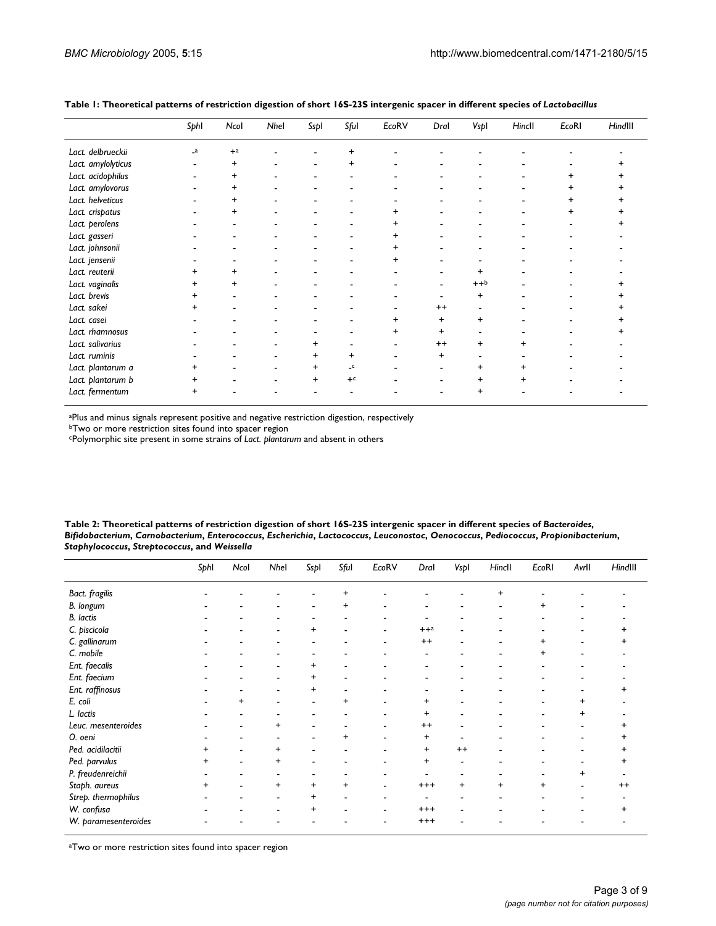|                    | Sphl                         | Ncol      | Nhel           | Sspl | Sful         | <b>EcoRV</b> | Dral                     | Vspl      | Hincll | EcoRI | HindIII |
|--------------------|------------------------------|-----------|----------------|------|--------------|--------------|--------------------------|-----------|--------|-------|---------|
| Lact. delbrueckii  | $\mathbf{a}$                 | $+a$      |                |      | $\ddot{}$    |              |                          |           |        |       |         |
| Lact. amylolyticus | $\qquad \qquad \blacksquare$ | +         |                |      | +            |              |                          |           |        |       |         |
| Lact. acidophilus  |                              | $\pm$     |                |      |              |              |                          |           |        |       |         |
| Lact. amylovorus   |                              | +         |                |      |              |              |                          |           |        |       |         |
| Lact. helveticus   |                              | $\ddot{}$ |                |      |              |              |                          |           |        |       |         |
| Lact. crispatus    |                              | +         |                |      |              |              |                          |           |        |       |         |
| Lact. perolens     |                              |           |                |      |              |              |                          |           |        |       |         |
| Lact. gasseri      |                              |           |                |      |              | +            |                          |           |        |       |         |
| Lact. johnsonii    |                              |           |                |      |              | +            |                          |           |        |       |         |
| Lact. jensenii     |                              |           |                |      |              | +            |                          |           |        |       |         |
| Lact. reuterii     | +                            | $\ddot{}$ |                |      |              |              |                          | $\ddot{}$ |        |       |         |
| Lact. vaginalis    | $\ddot{}$                    | $\ddot{}$ |                |      |              |              |                          | $++b$     |        |       |         |
| Lact. brevis       |                              |           |                |      |              |              |                          | $\ddot{}$ |        |       |         |
| Lact. sakei        |                              |           |                |      |              |              | $^{++}$                  |           |        |       |         |
| Lact. casei        |                              |           |                |      |              | +            | $\ddot{}$                | $+$       |        |       |         |
| Lact. rhamnosus    |                              |           |                |      |              | +            | ٠                        |           |        |       |         |
| Lact. salivarius   |                              |           |                | +    |              |              | $^{++}$                  | $\ddot{}$ |        |       |         |
| Lact. ruminis      |                              |           | $\blacksquare$ | +    | +            |              | +                        |           |        |       |         |
| Lact. plantarum a  | ٠                            |           |                | +    | $\mathsf{C}$ |              |                          | +         |        |       |         |
| Lact. plantarum b  | +                            |           |                | +    | $+c$         |              | $\overline{\phantom{0}}$ | $\ddot{}$ |        |       |         |
| Lact. fermentum    | $\ddot{}$                    |           |                |      |              |              |                          | $\ddot{}$ |        |       |         |

#### <span id="page-2-0"></span>**Table 1: Theoretical patterns of restriction digestion of short 16S-23S intergenic spacer in different species of** *Lactobacillus*

aPlus and minus signals represent positive and negative restriction digestion, respectively

**bTwo or more restriction sites found into spacer region** 

cPolymorphic site present in some strains of *Lact. plantarum* and absent in others

<span id="page-2-1"></span>

| Table 2: Theoretical patterns of restriction digestion of short 16S-23S intergenic spacer in different species of Bacteroides,    |
|-----------------------------------------------------------------------------------------------------------------------------------|
| Bifidobacterium, Carnobacterium, Enterococcus, Escherichia, Lactococcus, Leuconostoc, Oenococcus, Pediococcus, Propionibacterium, |
| Staphylococcus, Streptococcus, and Weissella                                                                                      |

|                      | Sphl      | Ncol                     | Nhel                     | Sspl                     | Sful      | <b>EcoRV</b>                 | Dral           | Vspl                         | Hincll | EcoRI                    | Avrll          | HindIII |
|----------------------|-----------|--------------------------|--------------------------|--------------------------|-----------|------------------------------|----------------|------------------------------|--------|--------------------------|----------------|---------|
| Bact. fragilis       |           |                          |                          |                          | +         |                              |                |                              |        |                          |                |         |
| <b>B.</b> longum     |           |                          | -                        | $\overline{\phantom{a}}$ | +         |                              | $\blacksquare$ | $\blacksquare$               | ٠      | +                        |                |         |
| <b>B.</b> lactis     |           |                          |                          |                          |           |                              |                |                              |        |                          |                |         |
| C. piscicola         |           |                          | ٠                        | +                        |           | ۰                            | $++a$          |                              |        |                          |                |         |
| C. gallinarum        |           |                          | ۰                        |                          |           | $\blacksquare$               | $^{++}$        | $\qquad \qquad \blacksquare$ |        | +                        | $\blacksquare$ |         |
| C. mobile            |           |                          |                          |                          |           |                              |                |                              |        | +                        |                |         |
| Ent. faecalis        |           |                          |                          | +                        |           |                              |                |                              |        |                          |                |         |
| Ent. faecium         |           |                          | ۰                        | +                        |           |                              | $\blacksquare$ |                              |        |                          |                |         |
| Ent. raffinosus      |           |                          |                          | +                        |           |                              |                |                              |        |                          |                |         |
| E. coli              |           | $\ddot{}$                |                          |                          | +         |                              | +              |                              |        |                          | +              |         |
| L. lactis            |           |                          |                          |                          |           |                              | +              |                              |        | $\overline{\phantom{a}}$ | +              |         |
| Leuc. mesenteroides  |           |                          | $\ddot{}$                |                          |           | ۰                            | $^{++}$        |                              |        |                          |                |         |
| O. oeni              |           | $\overline{\phantom{0}}$ | $\overline{\phantom{a}}$ |                          | $\ddot{}$ | $\qquad \qquad \blacksquare$ | +              | $\blacksquare$               |        |                          | $\blacksquare$ |         |
| Ped. acidilacitii    | +         |                          | $\ddot{}$                |                          |           |                              | +              | $++$                         |        |                          |                |         |
| Ped. parvulus        | ÷         |                          | $\ddot{}$                |                          |           |                              | $\ddot{}$      |                              |        |                          |                |         |
| P. freudenreichii    |           | $\overline{\phantom{0}}$ | $\blacksquare$           |                          |           | ٠                            | $\blacksquare$ | $\overline{\phantom{0}}$     |        | $\blacksquare$           | +              |         |
| Staph. aureus        | $\ddot{}$ |                          | $\ddot{}$                | +                        | $\ddot{}$ | ۰                            | $^{+++}$       | $\ddot{}$                    | +      | +                        | ۰              | $^{++}$ |
| Strep. thermophilus  |           |                          |                          | +                        |           |                              | $\blacksquare$ |                              |        |                          |                |         |
| W. confusa           |           |                          | $\overline{\phantom{a}}$ | +                        | ۰         | ٠                            | $^{+++}$       | ٠                            |        |                          | $\blacksquare$ |         |
| W. paramesenteroides |           |                          |                          |                          |           |                              | $^{+++}$       |                              |        |                          |                |         |

aTwo or more restriction sites found into spacer region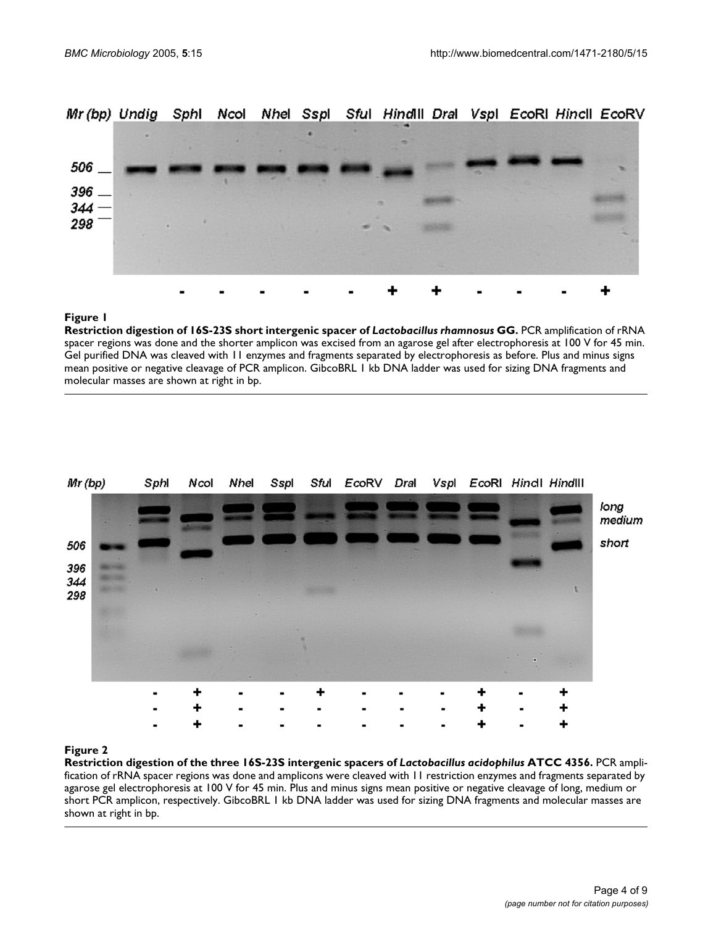

#### **Figure 1** Restriction digestion of 16S-23S short intergenic spacer of *Lactobacillus rhamnosus* GG

**Restriction digestion of 16S-23S short intergenic spacer of** *Lactobacillus rhamnosus* **GG.** PCR amplification of rRNA spacer regions was done and the shorter amplicon was excised from an agarose gel after electrophoresis at 100 V for 45 min. Gel purified DNA was cleaved with 11 enzymes and fragments separated by electrophoresis as before. Plus and minus signs mean positive or negative cleavage of PCR amplicon. GibcoBRL 1 kb DNA ladder was used for sizing DNA fragments and molecular masses are shown at right in bp.



#### **Figure 2** Restriction digestion of the three 16S-23S intergenic spacers of *Lactobacillus acidophilus* ATCC 4356

**Restriction digestion of the three 16S-23S intergenic spacers of** *Lactobacillus acidophilus* **ATCC 4356.** PCR amplification of rRNA spacer regions was done and amplicons were cleaved with 11 restriction enzymes and fragments separated by agarose gel electrophoresis at 100 V for 45 min. Plus and minus signs mean positive or negative cleavage of long, medium or short PCR amplicon, respectively. GibcoBRL 1 kb DNA ladder was used for sizing DNA fragments and molecular masses are shown at right in bp.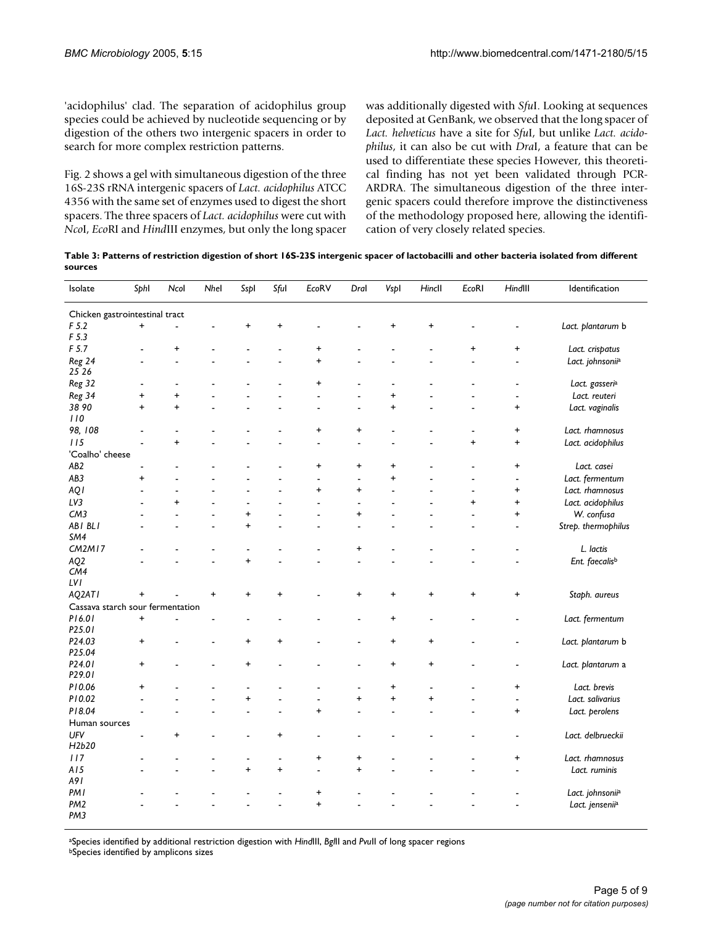'acidophilus' clad. The separation of acidophilus group species could be achieved by nucleotide sequencing or by digestion of the others two intergenic spacers in order to search for more complex restriction patterns.

Fig. 2 shows a gel with simultaneous digestion of the three 16S-23S rRNA intergenic spacers of *Lact. acidophilus* ATCC 4356 with the same set of enzymes used to digest the short spacers. The three spacers of *Lact. acidophilus* were cut with *Nco*I, *Eco*RI and *Hind*III enzymes, but only the long spacer was additionally digested with *Sfu*I. Looking at sequences deposited at GenBank, we observed that the long spacer of *Lact. helveticus* have a site for *Sfu*I, but unlike *Lact. acidophilus*, it can also be cut with *Dra*I, a feature that can be used to differentiate these species However, this theoretical finding has not yet been validated through PCR-ARDRA. The simultaneous digestion of the three intergenic spacers could therefore improve the distinctiveness of the methodology proposed here, allowing the identification of very closely related species.

<span id="page-4-0"></span>**Table 3: Patterns of restriction digestion of short 16S-23S intergenic spacer of lactobacilli and other bacteria isolated from different sources**

| Isolate                          | Sphl      | Ncol           | <b>Nhel</b> | Sspl           | Sful           | <b>EcoRV</b>   | Dral           | Vspl           | Hincll                   | EcoRI     | HindIII        | Identification               |
|----------------------------------|-----------|----------------|-------------|----------------|----------------|----------------|----------------|----------------|--------------------------|-----------|----------------|------------------------------|
| Chicken gastrointestinal tract   |           |                |             |                |                |                |                |                |                          |           |                |                              |
| F <sub>5.2</sub><br>F 5.3        | $\ddot{}$ |                |             | $\ddot{}$      | +              |                |                | +              | +                        |           |                | Lact. plantarum b            |
| F 5.7                            |           | +              |             |                |                | $\ddot{}$      |                |                |                          | +         | $\ddot{}$      |                              |
|                                  |           |                |             |                |                | $\ddot{}$      |                |                |                          |           |                | Lact. crispatus              |
| Reg 24<br>25 26                  |           |                |             |                |                |                |                |                |                          |           | $\blacksquare$ | Lact. johnsonii <sup>a</sup> |
| Reg 32                           |           | $\blacksquare$ |             |                |                | +              |                | $\blacksquare$ |                          |           | $\blacksquare$ | Lact. gasseri <sup>a</sup>   |
| Reg 34                           | +         | $\ddot{}$      |             |                |                |                |                | $\ddot{}$      |                          |           | $\blacksquare$ | Lact. reuteri                |
| 38 90                            | $\ddot{}$ | +              | ä,          |                |                | $\blacksquare$ | $\blacksquare$ | $\ddot{}$      |                          | ÷,        | $\ddot{}$      | Lact. vaginalis              |
| 110                              |           |                |             |                |                |                |                |                |                          |           |                |                              |
| 98, 108                          |           |                |             |                |                | $\ddot{}$      | $\pmb{+}$      | ä,             |                          |           | $\ddot{}$      | Lact. rhamnosus              |
| 115                              | ÷         | $\ddot{}$      |             |                | ٠              | ÷              | $\blacksquare$ | $\blacksquare$ | ÷                        | $\ddot{}$ | $\ddot{}$      | Lact. acidophilus            |
| 'Coalho' cheese                  |           |                |             |                |                |                |                |                |                          |           |                |                              |
| AB <sub>2</sub>                  |           |                |             |                |                | +              | +              | $\ddot{}$      |                          |           | $\ddot{}$      | Lact. casei                  |
| AB3                              | $\ddot{}$ | $\overline{a}$ | ÷.          | $\blacksquare$ | $\overline{a}$ | $\blacksquare$ | $\blacksquare$ | $\ddot{}$      | ÷                        | ÷.        | $\blacksquare$ | Lact. fermentum              |
| AQ1                              |           |                |             |                |                | $\ddot{}$      | $\ddot{}$      |                |                          |           | $\ddot{}$      | Lact. rhamnosus              |
| LV3                              |           | $\ddot{}$      | ٠           | $\overline{a}$ | ÷              | ÷              | $\blacksquare$ | ä,             | ÷.                       | $\ddot{}$ | $\ddot{}$      | Lact. acidophilus            |
| CM3                              |           |                | ÷,          | $\ddot{}$      |                | $\blacksquare$ | $\ddot{}$      |                |                          |           | $\ddot{}$      | W. confusa                   |
| ABI BLI                          |           |                |             | $\ddot{}$      |                |                |                |                |                          |           | L.             | Strep. thermophilus          |
| SM4                              |           |                |             |                |                |                |                |                |                          |           |                |                              |
| CM2M17                           |           |                | ÷.          | $\blacksquare$ |                |                | +              |                |                          |           |                | L. lactis                    |
| AQ <sub>2</sub>                  |           |                |             | $\ddot{}$      |                |                |                |                |                          |           |                | Ent. faecalisb               |
| CM4                              |           |                |             |                |                |                |                |                |                          |           |                |                              |
| LVI                              |           |                |             |                |                |                |                |                |                          |           |                |                              |
| AQ2ATI                           | $\ddot{}$ |                | $\ddot{}$   | $\ddot{}$      | +              |                | $\ddot{}$      | $\ddot{}$      | $\ddot{}$                | $\ddot{}$ | $\ddot{}$      | Staph. aureus                |
| Cassava starch sour fermentation |           |                |             |                |                |                |                |                |                          |           |                |                              |
| P16.01<br>P25.01                 | $\ddot{}$ |                |             | L.             |                |                |                | $\ddot{}$      | $\overline{\phantom{a}}$ |           | $\blacksquare$ | Lact. fermentum              |
| P24.03                           | $\ddot{}$ |                |             | $\ddot{}$      | $\ddot{}$      |                |                | $\ddot{}$      | $\ddot{}$                |           |                | Lact. plantarum b            |
| P25.04                           |           |                |             |                |                |                |                |                |                          |           |                |                              |
| P24.01<br>P29.01                 | $\ddot{}$ |                |             | +              |                |                |                | $\ddot{}$      | +                        |           |                | Lact. plantarum a            |
| P10.06                           | $\ddot{}$ |                |             | $\blacksquare$ |                |                |                | $\ddot{}$      | $\overline{\phantom{a}}$ |           | $\ddot{}$      | Lact. brevis                 |
| P10.02                           |           |                |             | $\ddot{}$      |                |                | $\ddot{}$      | $\ddot{}$      | $\ddot{}$                |           | $\blacksquare$ | Lact. salivarius             |
| P18.04                           |           |                |             | $\overline{a}$ | $\overline{a}$ | $\ddot{}$      |                | $\blacksquare$ |                          |           | $\ddot{}$      | Lact. perolens               |
| Human sources                    |           |                |             |                |                |                |                |                |                          |           |                |                              |
| UFV                              |           | +              |             |                | +              | $\blacksquare$ | $\blacksquare$ | ÷.             |                          |           | $\blacksquare$ | Lact. delbrueckii            |
| H <sub>2</sub> b <sub>20</sub>   |           |                |             |                |                |                |                |                |                          |           |                |                              |
| 117                              |           |                |             | $\blacksquare$ | $\blacksquare$ | +              | +              |                |                          |           | $\ddot{}$      | Lact. rhamnosus              |
| A15                              |           | $\blacksquare$ | L,          | +              | +              | $\overline{a}$ | $\ddot{}$      | L.             |                          | L,        | $\blacksquare$ | Lact. ruminis                |
| A91                              |           |                |             |                |                |                |                |                |                          |           |                |                              |
| PM I                             |           |                |             |                |                | $\ddot{}$      |                |                |                          |           |                | Lact. johnsonija             |
| PM <sub>2</sub>                  |           |                |             |                | ÷              | $\ddot{}$      |                |                |                          |           |                | Lact. jensenij <sup>a</sup>  |
| PM3                              |           |                |             |                |                |                |                |                |                          |           |                |                              |

aSpecies identified by additional restriction digestion with *Hind*III, *Bgl*II and *Pvu*II of long spacer regions bSpecies identified by amplicons sizes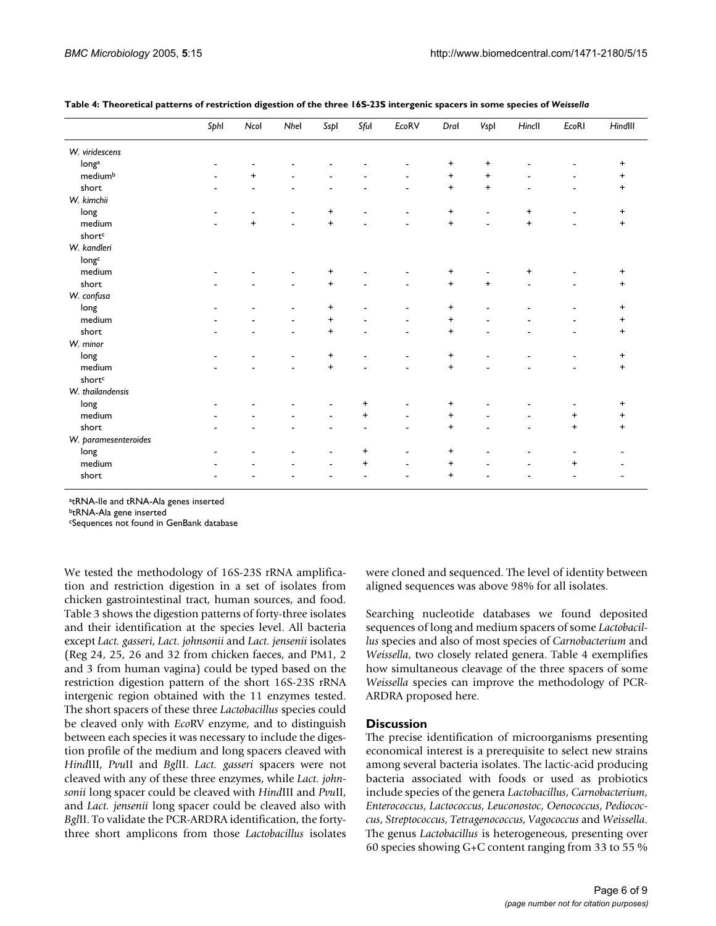|                      | Sphl | Ncol      | Nhel | Sspl      | Sful | EcoRV | Dral      | Vspl      | Hincll    | EcoRI     | HindIII |
|----------------------|------|-----------|------|-----------|------|-------|-----------|-----------|-----------|-----------|---------|
| W. viridescens       |      |           |      |           |      |       |           |           |           |           |         |
| long <sup>a</sup>    |      |           |      |           |      |       | +         | $\ddot{}$ |           |           | +       |
| mediumb              |      | +         |      |           |      |       | $\ddot{}$ | $\ddot{}$ |           |           | +       |
| short                |      |           |      |           |      |       | $\ddot{}$ | $\ddot{}$ |           |           | +       |
| W. kimchii           |      |           |      |           |      |       |           |           |           |           |         |
| long                 |      |           |      | $\ddot{}$ |      |       | $\ddot{}$ |           | $\ddot{}$ |           | +       |
| medium               |      | $\ddot{}$ |      | $\ddot{}$ |      |       | $\ddot{}$ |           | $\ddot{}$ |           | +       |
| shortc               |      |           |      |           |      |       |           |           |           |           |         |
| W. kandleri          |      |           |      |           |      |       |           |           |           |           |         |
| longc                |      |           |      |           |      |       |           |           |           |           |         |
| medium               |      |           |      | $\ddot{}$ |      |       | $\ddot{}$ |           | $\ddot{}$ |           |         |
| short                |      |           |      | $\ddot{}$ |      |       | $\ddot{}$ | $\ddot{}$ |           |           | +       |
| W. confusa           |      |           |      |           |      |       |           |           |           |           |         |
| long                 |      |           |      | $\ddot{}$ |      |       | $\ddot{}$ |           |           |           | +       |
| medium               |      |           |      | $\ddot{}$ |      |       | $\ddot{}$ |           |           |           | +       |
| short                |      |           |      | $\ddot{}$ |      |       | $\ddot{}$ |           |           |           | +       |
| W. minor             |      |           |      |           |      |       |           |           |           |           |         |
| long                 |      |           |      | $\ddot{}$ |      |       | $\ddot{}$ |           |           |           | +       |
| medium               |      |           |      | $\ddot{}$ |      |       | $\ddot{}$ |           |           |           | +       |
| shortc               |      |           |      |           |      |       |           |           |           |           |         |
| W. thailandensis     |      |           |      |           |      |       |           |           |           |           |         |
| long                 |      |           |      |           | +    |       | +         |           |           |           | +       |
| medium               |      |           |      |           | +    |       | $\ddot{}$ |           |           | $\ddot{}$ | +       |
| short                |      |           |      |           |      |       | $\ddot{}$ |           |           | +         | +       |
| W. paramesenteroides |      |           |      |           |      |       |           |           |           |           |         |
| long                 |      |           |      |           | +    |       | $\ddot{}$ |           |           |           |         |
| medium               |      |           |      |           | +    |       | $\ddot{}$ |           |           | +         |         |
| short                |      |           |      |           |      |       | $\ddot{}$ |           |           |           |         |

<span id="page-5-0"></span>

|  | Table 4: Theoretical patterns of restriction digestion of the three 16S-23S intergenic spacers in some species of Weissella |  |  |
|--|-----------------------------------------------------------------------------------------------------------------------------|--|--|
|--|-----------------------------------------------------------------------------------------------------------------------------|--|--|

atRNA-Ile and tRNA-Ala genes inserted

btRNA-Ala gene inserted

cSequences not found in GenBank database

We tested the methodology of 16S-23S rRNA amplification and restriction digestion in a set of isolates from chicken gastrointestinal tract, human sources, and food. Table [3](#page-4-0) shows the digestion patterns of forty-three isolates and their identification at the species level. All bacteria except *Lact. gasseri*, *Lact. johnsonii* and *Lact. jensenii* isolates (Reg 24, 25, 26 and 32 from chicken faeces, and PM1, 2 and 3 from human vagina) could be typed based on the restriction digestion pattern of the short 16S-23S rRNA intergenic region obtained with the 11 enzymes tested. The short spacers of these three *Lactobacillus* species could be cleaved only with *Eco*RV enzyme, and to distinguish between each species it was necessary to include the digestion profile of the medium and long spacers cleaved with *Hind*III, *Pvu*II and *Bgl*II. *Lact. gasseri* spacers were not cleaved with any of these three enzymes, while *Lact. johnsonii* long spacer could be cleaved with *Hind*III and *Pvu*II, and *Lact. jensenii* long spacer could be cleaved also with *Bgl*II. To validate the PCR-ARDRA identification, the fortythree short amplicons from those *Lactobacillus* isolates were cloned and sequenced. The level of identity between aligned sequences was above 98% for all isolates.

Searching nucleotide databases we found deposited sequences of long and medium spacers of some *Lactobacillus* species and also of most species of *Carnobacterium* and *Weissella*, two closely related genera. Table [4](#page-5-0) exemplifies how simultaneous cleavage of the three spacers of some *Weissella* species can improve the methodology of PCR-ARDRA proposed here.

#### **Discussion**

The precise identification of microorganisms presenting economical interest is a prerequisite to select new strains among several bacteria isolates. The lactic-acid producing bacteria associated with foods or used as probiotics include species of the genera *Lactobacillus*, *Carnobacterium*, *Enterococcus*, *Lactococcus*, *Leuconostoc*, *Oenococcus*, *Pediococcus*, *Streptococcus*, *Tetragenococcus*, *Vagococcus* and *Weissella*. The genus *Lactobacillus* is heterogeneous, presenting over 60 species showing G+C content ranging from 33 to 55 %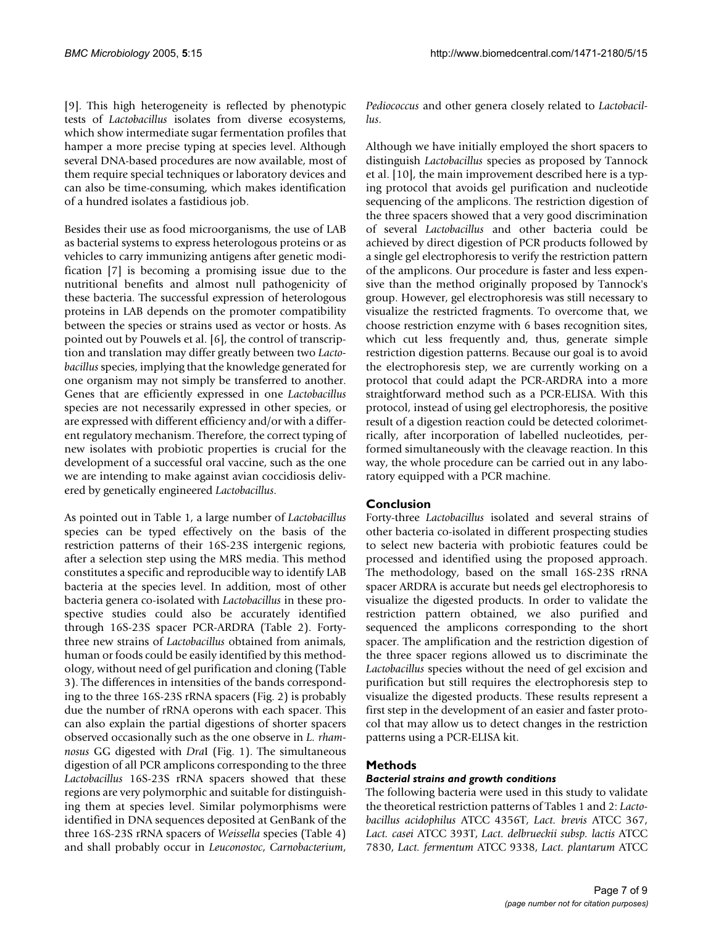[9]. This high heterogeneity is reflected by phenotypic tests of *Lactobacillus* isolates from diverse ecosystems, which show intermediate sugar fermentation profiles that hamper a more precise typing at species level. Although several DNA-based procedures are now available, most of them require special techniques or laboratory devices and can also be time-consuming, which makes identification of a hundred isolates a fastidious job.

Besides their use as food microorganisms, the use of LAB as bacterial systems to express heterologous proteins or as vehicles to carry immunizing antigens after genetic modification [7] is becoming a promising issue due to the nutritional benefits and almost null pathogenicity of these bacteria. The successful expression of heterologous proteins in LAB depends on the promoter compatibility between the species or strains used as vector or hosts. As pointed out by Pouwels et al. [6], the control of transcription and translation may differ greatly between two *Lactobacillus* species, implying that the knowledge generated for one organism may not simply be transferred to another. Genes that are efficiently expressed in one *Lactobacillus* species are not necessarily expressed in other species, or are expressed with different efficiency and/or with a different regulatory mechanism. Therefore, the correct typing of new isolates with probiotic properties is crucial for the development of a successful oral vaccine, such as the one we are intending to make against avian coccidiosis delivered by genetically engineered *Lactobacillus*.

As pointed out in Table [1](#page-2-0), a large number of *Lactobacillus* species can be typed effectively on the basis of the restriction patterns of their 16S-23S intergenic regions, after a selection step using the MRS media. This method constitutes a specific and reproducible way to identify LAB bacteria at the species level. In addition, most of other bacteria genera co-isolated with *Lactobacillus* in these prospective studies could also be accurately identified through 16S-23S spacer PCR-ARDRA (Table [2\)](#page-2-1). Fortythree new strains of *Lactobacillus* obtained from animals, human or foods could be easily identified by this methodology, without need of gel purification and cloning (Table [3\)](#page-4-0). The differences in intensities of the bands corresponding to the three 16S-23S rRNA spacers (Fig. 2) is probably due the number of rRNA operons with each spacer. This can also explain the partial digestions of shorter spacers observed occasionally such as the one observe in *L. rhamnosus* GG digested with *Dra*I (Fig. 1). The simultaneous digestion of all PCR amplicons corresponding to the three *Lactobacillus* 16S-23S rRNA spacers showed that these regions are very polymorphic and suitable for distinguishing them at species level. Similar polymorphisms were identified in DNA sequences deposited at GenBank of the three 16S-23S rRNA spacers of *Weissella* species (Table [4](#page-5-0)) and shall probably occur in *Leuconostoc*, *Carnobacterium*,

*Pediococcus* and other genera closely related to *Lactobacillus*.

Although we have initially employed the short spacers to distinguish *Lactobacillus* species as proposed by Tannock et al. [10], the main improvement described here is a typing protocol that avoids gel purification and nucleotide sequencing of the amplicons. The restriction digestion of the three spacers showed that a very good discrimination of several *Lactobacillus* and other bacteria could be achieved by direct digestion of PCR products followed by a single gel electrophoresis to verify the restriction pattern of the amplicons. Our procedure is faster and less expensive than the method originally proposed by Tannock's group. However, gel electrophoresis was still necessary to visualize the restricted fragments. To overcome that, we choose restriction enzyme with 6 bases recognition sites, which cut less frequently and, thus, generate simple restriction digestion patterns. Because our goal is to avoid the electrophoresis step, we are currently working on a protocol that could adapt the PCR-ARDRA into a more straightforward method such as a PCR-ELISA. With this protocol, instead of using gel electrophoresis, the positive result of a digestion reaction could be detected colorimetrically, after incorporation of labelled nucleotides, performed simultaneously with the cleavage reaction. In this way, the whole procedure can be carried out in any laboratory equipped with a PCR machine.

# **Conclusion**

Forty-three *Lactobacillus* isolated and several strains of other bacteria co-isolated in different prospecting studies to select new bacteria with probiotic features could be processed and identified using the proposed approach. The methodology, based on the small 16S-23S rRNA spacer ARDRA is accurate but needs gel electrophoresis to visualize the digested products. In order to validate the restriction pattern obtained, we also purified and sequenced the amplicons corresponding to the short spacer. The amplification and the restriction digestion of the three spacer regions allowed us to discriminate the *Lactobacillus* species without the need of gel excision and purification but still requires the electrophoresis step to visualize the digested products. These results represent a first step in the development of an easier and faster protocol that may allow us to detect changes in the restriction patterns using a PCR-ELISA kit.

# **Methods**

# *Bacterial strains and growth conditions*

The following bacteria were used in this study to validate the theoretical restriction patterns of Tables [1](#page-2-0) and [2:](#page-2-1) *Lactobacillus acidophilus* ATCC 4356T, *Lact. brevis* ATCC 367, *Lact. casei* ATCC 393T, *Lact. delbrueckii subsp. lactis* ATCC 7830, *Lact. fermentum* ATCC 9338, *Lact. plantarum* ATCC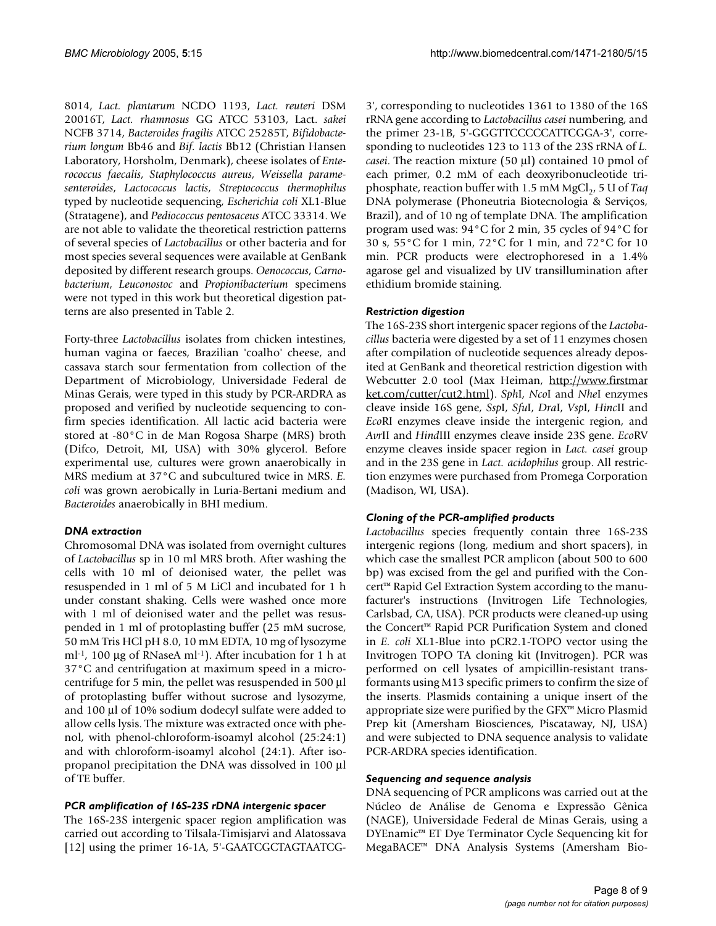8014, *Lact. plantarum* NCDO 1193, *Lact. reuteri* DSM 20016T, *Lact. rhamnosus* GG ATCC 53103, Lact. *sakei* NCFB 3714, *Bacteroides fragilis* ATCC 25285T, *Bifidobacterium longum* Bb46 and *Bif. lactis* Bb12 (Christian Hansen Laboratory, Horsholm, Denmark), cheese isolates of *Enterococcus faecalis*, *Staphylococcus aureus*, *Weissella paramesenteroides*, *Lactococcus lactis*, *Streptococcus thermophilus* typed by nucleotide sequencing, *Escherichia coli* XL1-Blue (Stratagene), and *Pediococcus pentosaceus* ATCC 33314. We are not able to validate the theoretical restriction patterns of several species of *Lactobacillus* or other bacteria and for most species several sequences were available at GenBank deposited by different research groups. *Oenococcus*, *Carnobacterium*, *Leuconostoc* and *Propionibacterium* specimens were not typed in this work but theoretical digestion patterns are also presented in Table [2](#page-2-1).

Forty-three *Lactobacillus* isolates from chicken intestines, human vagina or faeces, Brazilian 'coalho' cheese, and cassava starch sour fermentation from collection of the Department of Microbiology, Universidade Federal de Minas Gerais, were typed in this study by PCR-ARDRA as proposed and verified by nucleotide sequencing to confirm species identification. All lactic acid bacteria were stored at -80°C in de Man Rogosa Sharpe (MRS) broth (Difco, Detroit, MI, USA) with 30% glycerol. Before experimental use, cultures were grown anaerobically in MRS medium at 37°C and subcultured twice in MRS. *E. coli* was grown aerobically in Luria-Bertani medium and *Bacteroides* anaerobically in BHI medium.

# *DNA extraction*

Chromosomal DNA was isolated from overnight cultures of *Lactobacillus* sp in 10 ml MRS broth. After washing the cells with 10 ml of deionised water, the pellet was resuspended in 1 ml of 5 M LiCl and incubated for 1 h under constant shaking. Cells were washed once more with 1 ml of deionised water and the pellet was resuspended in 1 ml of protoplasting buffer (25 mM sucrose, 50 mM Tris HCl pH 8.0, 10 mM EDTA, 10 mg of lysozyme ml<sup>-1</sup>, 100 µg of RNaseA ml<sup>-1</sup>). After incubation for 1 h at 37°C and centrifugation at maximum speed in a microcentrifuge for 5 min, the pellet was resuspended in 500 µl of protoplasting buffer without sucrose and lysozyme, and 100 µl of 10% sodium dodecyl sulfate were added to allow cells lysis. The mixture was extracted once with phenol, with phenol-chloroform-isoamyl alcohol (25:24:1) and with chloroform-isoamyl alcohol (24:1). After isopropanol precipitation the DNA was dissolved in 100 µl of TE buffer.

# *PCR amplification of 16S-23S rDNA intergenic spacer*

The 16S-23S intergenic spacer region amplification was carried out according to Tilsala-Timisjarvi and Alatossava [12] using the primer 16-1A, 5'-GAATCGCTAGTAATCG-

3', corresponding to nucleotides 1361 to 1380 of the 16S rRNA gene according to *Lactobacillus casei* numbering, and the primer 23-1B, 5'-GGGTTCCCCCATTCGGA-3', corresponding to nucleotides 123 to 113 of the 23S rRNA of *L. casei*. The reaction mixture (50 µl) contained 10 pmol of each primer, 0.2 mM of each deoxyribonucleotide triphosphate, reaction buffer with 1.5 mM MgCl<sub>2</sub>, 5 U of *Taq* DNA polymerase (Phoneutria Biotecnologia & Serviços, Brazil), and of 10 ng of template DNA. The amplification program used was: 94°C for 2 min, 35 cycles of 94°C for 30 s, 55°C for 1 min, 72°C for 1 min, and 72°C for 10 min. PCR products were electrophoresed in a 1.4% agarose gel and visualized by UV transillumination after ethidium bromide staining.

# *Restriction digestion*

The 16S-23S short intergenic spacer regions of the *Lactobacillus* bacteria were digested by a set of 11 enzymes chosen after compilation of nucleotide sequences already deposited at GenBank and theoretical restriction digestion with Webcutter 2.0 tool (Max Heiman, [http://www.firstmar](http://www.firstmarket.com/cutter/cut2.html) [ket.com/cutter/cut2.html\)](http://www.firstmarket.com/cutter/cut2.html). *Sph*I, *Nco*I and *Nhe*I enzymes cleave inside 16S gene, *Ssp*I, *Sfu*I, *Dra*I, *Vsp*I, *Hinc*II and *Eco*RI enzymes cleave inside the intergenic region, and *Avr*II and *Hind*III enzymes cleave inside 23S gene. *Eco*RV enzyme cleaves inside spacer region in *Lact. casei* group and in the 23S gene in *Lact. acidophilus* group. All restriction enzymes were purchased from Promega Corporation (Madison, WI, USA).

# *Cloning of the PCR-amplified products*

*Lactobacillus* species frequently contain three 16S-23S intergenic regions (long, medium and short spacers), in which case the smallest PCR amplicon (about 500 to 600 bp) was excised from the gel and purified with the Concert™ Rapid Gel Extraction System according to the manufacturer's instructions (Invitrogen Life Technologies, Carlsbad, CA, USA). PCR products were cleaned-up using the Concert™ Rapid PCR Purification System and cloned in *E. coli* XL1-Blue into pCR2.1-TOPO vector using the Invitrogen TOPO TA cloning kit (Invitrogen). PCR was performed on cell lysates of ampicillin-resistant transformants using M13 specific primers to confirm the size of the inserts. Plasmids containing a unique insert of the appropriate size were purified by the GFX™ Micro Plasmid Prep kit (Amersham Biosciences, Piscataway, NJ, USA) and were subjected to DNA sequence analysis to validate PCR-ARDRA species identification.

# *Sequencing and sequence analysis*

DNA sequencing of PCR amplicons was carried out at the Núcleo de Análise de Genoma e Expressão Gênica (NAGE), Universidade Federal de Minas Gerais, using a DYEnamic™ ET Dye Terminator Cycle Sequencing kit for MegaBACE™ DNA Analysis Systems (Amersham Bio